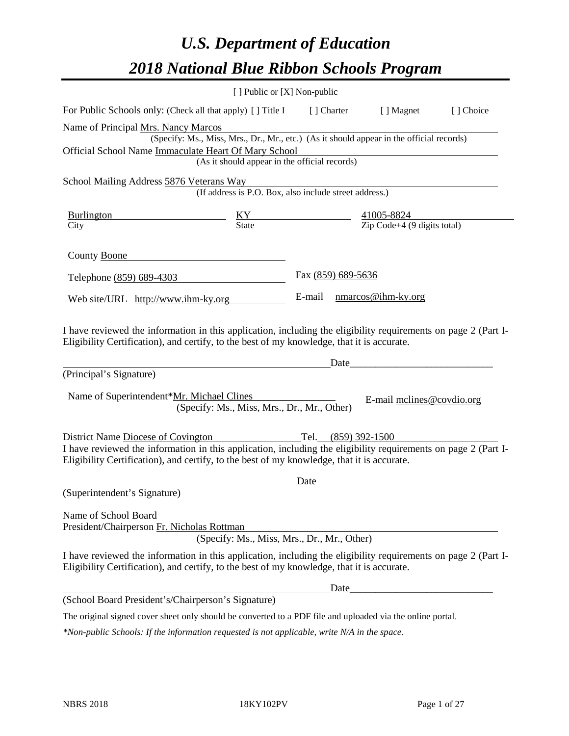# *U.S. Department of Education 2018 National Blue Ribbon Schools Program*

|                                                                                                                                                                                                              | [ ] Public or [X] Non-public                                                             |                    |                           |                           |
|--------------------------------------------------------------------------------------------------------------------------------------------------------------------------------------------------------------|------------------------------------------------------------------------------------------|--------------------|---------------------------|---------------------------|
| For Public Schools only: (Check all that apply) [ ] Title I [ ] Charter                                                                                                                                      |                                                                                          |                    | [ ] Magnet                | [] Choice                 |
| Name of Principal Mrs. Nancy Marcos                                                                                                                                                                          | (Specify: Ms., Miss, Mrs., Dr., Mr., etc.) (As it should appear in the official records) |                    |                           |                           |
| Official School Name Immaculate Heart Of Mary School                                                                                                                                                         | (As it should appear in the official records)                                            |                    |                           |                           |
| School Mailing Address 5876 Veterans Way                                                                                                                                                                     |                                                                                          |                    |                           |                           |
|                                                                                                                                                                                                              | (If address is P.O. Box, also include street address.)                                   |                    |                           |                           |
| $\frac{\text{Burlington}}{\text{City}}$ $\frac{\text{KY}}{\text{State}}$ $\frac{41005-8824}{\text{Zip Code}+4 (9 \text{ digits total})}$                                                                     |                                                                                          |                    |                           |                           |
|                                                                                                                                                                                                              |                                                                                          |                    |                           |                           |
| County Boone                                                                                                                                                                                                 |                                                                                          |                    |                           |                           |
| Telephone (859) 689-4303                                                                                                                                                                                     |                                                                                          | Fax (859) 689-5636 |                           |                           |
| Web site/URL http://www.ihm-ky.org                                                                                                                                                                           |                                                                                          |                    | E-mail nmarcos@ihm-ky.org |                           |
| (Principal's Signature)<br>Name of Superintendent*Mr. Michael Clines                                                                                                                                         | (Specify: Ms., Miss, Mrs., Dr., Mr., Other)                                              |                    | Date                      | E-mail mclines@covdio.org |
| District Name Diocese of Covington                                                                                                                                                                           |                                                                                          |                    | Tel. (859) 392-1500       |                           |
| I have reviewed the information in this application, including the eligibility requirements on page 2 (Part I-<br>Eligibility Certification), and certify, to the best of my knowledge, that it is accurate. |                                                                                          |                    |                           |                           |
|                                                                                                                                                                                                              |                                                                                          | Date               |                           |                           |
| (Superintendent's Signature)                                                                                                                                                                                 |                                                                                          |                    |                           |                           |
| Name of School Board<br>President/Chairperson Fr. Nicholas Rottman                                                                                                                                           | (Specify: Ms., Miss, Mrs., Dr., Mr., Other)                                              |                    |                           |                           |
| I have reviewed the information in this application, including the eligibility requirements on page 2 (Part I-<br>Eligibility Certification), and certify, to the best of my knowledge, that it is accurate. |                                                                                          |                    |                           |                           |
|                                                                                                                                                                                                              |                                                                                          |                    |                           |                           |
| (School Board President's/Chairperson's Signature)                                                                                                                                                           |                                                                                          |                    |                           |                           |
| The original signed cover sheet only should be converted to a PDF file and uploaded via the online portal.                                                                                                   |                                                                                          |                    |                           |                           |

*\*Non-public Schools: If the information requested is not applicable, write N/A in the space.*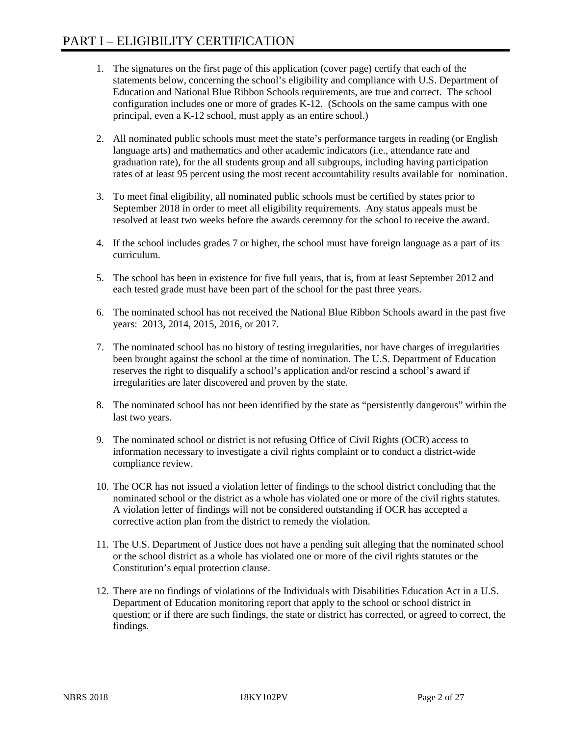- 1. The signatures on the first page of this application (cover page) certify that each of the statements below, concerning the school's eligibility and compliance with U.S. Department of Education and National Blue Ribbon Schools requirements, are true and correct. The school configuration includes one or more of grades K-12. (Schools on the same campus with one principal, even a K-12 school, must apply as an entire school.)
- 2. All nominated public schools must meet the state's performance targets in reading (or English language arts) and mathematics and other academic indicators (i.e., attendance rate and graduation rate), for the all students group and all subgroups, including having participation rates of at least 95 percent using the most recent accountability results available for nomination.
- 3. To meet final eligibility, all nominated public schools must be certified by states prior to September 2018 in order to meet all eligibility requirements. Any status appeals must be resolved at least two weeks before the awards ceremony for the school to receive the award.
- 4. If the school includes grades 7 or higher, the school must have foreign language as a part of its curriculum.
- 5. The school has been in existence for five full years, that is, from at least September 2012 and each tested grade must have been part of the school for the past three years.
- 6. The nominated school has not received the National Blue Ribbon Schools award in the past five years: 2013, 2014, 2015, 2016, or 2017.
- 7. The nominated school has no history of testing irregularities, nor have charges of irregularities been brought against the school at the time of nomination. The U.S. Department of Education reserves the right to disqualify a school's application and/or rescind a school's award if irregularities are later discovered and proven by the state.
- 8. The nominated school has not been identified by the state as "persistently dangerous" within the last two years.
- 9. The nominated school or district is not refusing Office of Civil Rights (OCR) access to information necessary to investigate a civil rights complaint or to conduct a district-wide compliance review.
- 10. The OCR has not issued a violation letter of findings to the school district concluding that the nominated school or the district as a whole has violated one or more of the civil rights statutes. A violation letter of findings will not be considered outstanding if OCR has accepted a corrective action plan from the district to remedy the violation.
- 11. The U.S. Department of Justice does not have a pending suit alleging that the nominated school or the school district as a whole has violated one or more of the civil rights statutes or the Constitution's equal protection clause.
- 12. There are no findings of violations of the Individuals with Disabilities Education Act in a U.S. Department of Education monitoring report that apply to the school or school district in question; or if there are such findings, the state or district has corrected, or agreed to correct, the findings.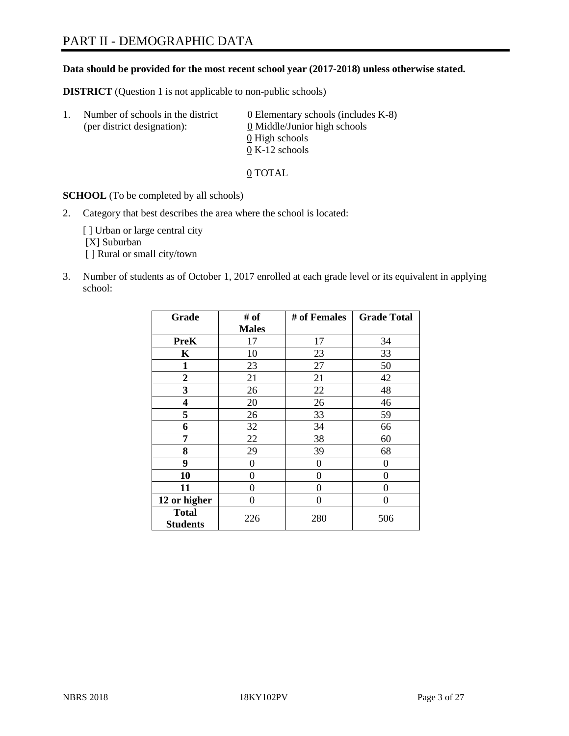# PART II - DEMOGRAPHIC DATA

#### **Data should be provided for the most recent school year (2017-2018) unless otherwise stated.**

**DISTRICT** (Question 1 is not applicable to non-public schools)

| $\perp$ | Number of schools in the district<br>(per district designation): | 0 Elementary schools (includes K-8)<br>0 Middle/Junior high schools |  |
|---------|------------------------------------------------------------------|---------------------------------------------------------------------|--|
|         |                                                                  | 0 High schools                                                      |  |
|         |                                                                  | $0 K-12$ schools                                                    |  |

0 TOTAL

**SCHOOL** (To be completed by all schools)

2. Category that best describes the area where the school is located:

[] Urban or large central city [X] Suburban [] Rural or small city/town

3. Number of students as of October 1, 2017 enrolled at each grade level or its equivalent in applying school:

| Grade                           | # of         | # of Females | <b>Grade Total</b> |
|---------------------------------|--------------|--------------|--------------------|
|                                 | <b>Males</b> |              |                    |
| <b>PreK</b>                     | 17           | 17           | 34                 |
| K                               | 10           | 23           | 33                 |
| $\mathbf{1}$                    | 23           | 27           | 50                 |
| 2                               | 21           | 21           | 42                 |
| 3                               | 26           | 22           | 48                 |
| 4                               | 20           | 26           | 46                 |
| 5                               | 26           | 33           | 59                 |
| 6                               | 32           | 34           | 66                 |
| 7                               | 22           | 38           | 60                 |
| 8                               | 29           | 39           | 68                 |
| 9                               | 0            | 0            | 0                  |
| 10                              | 0            | 0            | 0                  |
| 11                              | 0            | 0            | 0                  |
| 12 or higher                    | 0            | 0            | 0                  |
| <b>Total</b><br><b>Students</b> | 226          | 280          | 506                |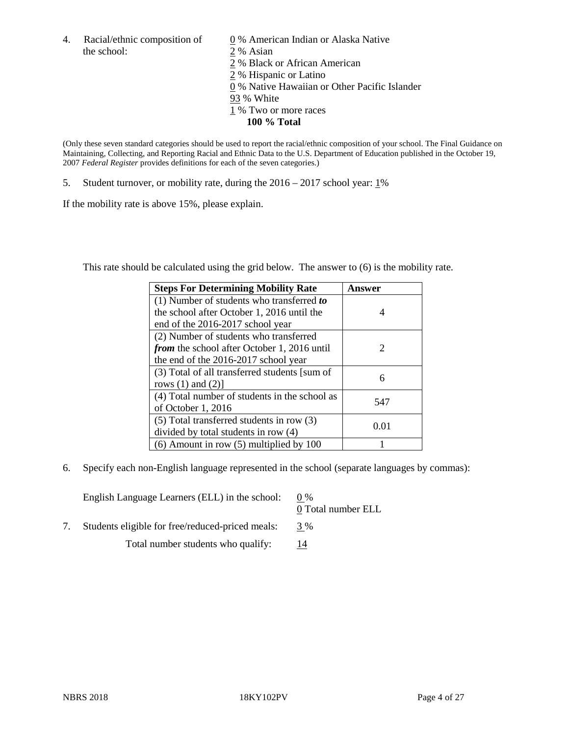4. Racial/ethnic composition of  $\qquad 0\%$  American Indian or Alaska Native the school: 2 % Asian

 % Black or African American % Hispanic or Latino % Native Hawaiian or Other Pacific Islander 93 % White % Two or more races **100 % Total**

(Only these seven standard categories should be used to report the racial/ethnic composition of your school. The Final Guidance on Maintaining, Collecting, and Reporting Racial and Ethnic Data to the U.S. Department of Education published in the October 19, 2007 *Federal Register* provides definitions for each of the seven categories.)

5. Student turnover, or mobility rate, during the 2016 – 2017 school year: 1%

If the mobility rate is above 15%, please explain.

This rate should be calculated using the grid below. The answer to (6) is the mobility rate.

| <b>Steps For Determining Mobility Rate</b>         | Answer                      |
|----------------------------------------------------|-----------------------------|
| $(1)$ Number of students who transferred to        |                             |
| the school after October 1, 2016 until the         | 4                           |
| end of the 2016-2017 school year                   |                             |
| (2) Number of students who transferred             |                             |
| <i>from</i> the school after October 1, 2016 until | $\mathcal{D}_{\mathcal{L}}$ |
| the end of the 2016-2017 school year               |                             |
| (3) Total of all transferred students [sum of      | 6                           |
| rows $(1)$ and $(2)$ ]                             |                             |
| (4) Total number of students in the school as      | 547                         |
| of October 1, 2016                                 |                             |
| (5) Total transferred students in row (3)          | 0.01                        |
| divided by total students in row (4)               |                             |
| $(6)$ Amount in row $(5)$ multiplied by 100        |                             |

6. Specify each non-English language represented in the school (separate languages by commas):

English Language Learners (ELL) in the school:  $0\%$ 0 Total number ELL 7. Students eligible for free/reduced-priced meals: 3 %

Total number students who qualify:  $\frac{14}{14}$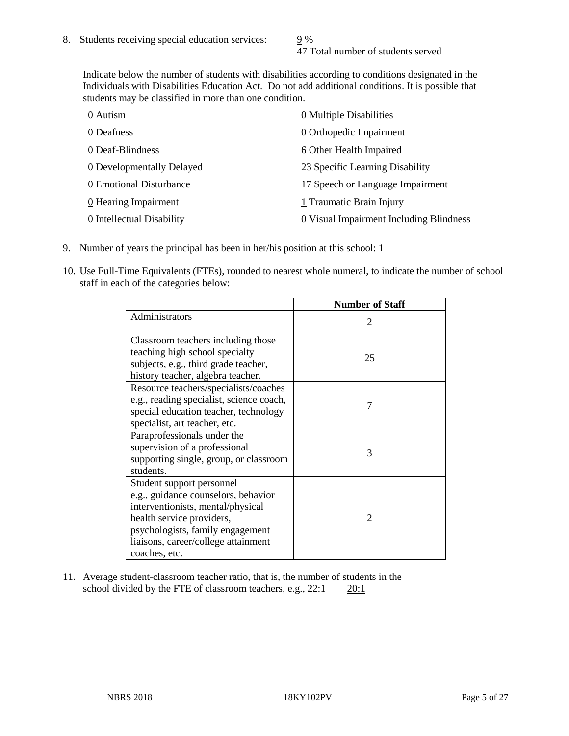47 Total number of students served

Indicate below the number of students with disabilities according to conditions designated in the Individuals with Disabilities Education Act. Do not add additional conditions. It is possible that students may be classified in more than one condition.

| 0 Autism                           | $\underline{0}$ Multiple Disabilities   |
|------------------------------------|-----------------------------------------|
| 0 Deafness                         | 0 Orthopedic Impairment                 |
| 0 Deaf-Blindness                   | 6 Other Health Impaired                 |
| 0 Developmentally Delayed          | 23 Specific Learning Disability         |
| 0 Emotional Disturbance            | 17 Speech or Language Impairment        |
| $\underline{0}$ Hearing Impairment | 1 Traumatic Brain Injury                |
| 0 Intellectual Disability          | 0 Visual Impairment Including Blindness |

- 9. Number of years the principal has been in her/his position at this school:  $1$
- 10. Use Full-Time Equivalents (FTEs), rounded to nearest whole numeral, to indicate the number of school staff in each of the categories below:

|                                                                                                                                                                                                                                | <b>Number of Staff</b> |
|--------------------------------------------------------------------------------------------------------------------------------------------------------------------------------------------------------------------------------|------------------------|
| Administrators                                                                                                                                                                                                                 | 2                      |
| Classroom teachers including those<br>teaching high school specialty<br>subjects, e.g., third grade teacher,<br>history teacher, algebra teacher.                                                                              | 25                     |
| Resource teachers/specialists/coaches<br>e.g., reading specialist, science coach,<br>special education teacher, technology<br>specialist, art teacher, etc.                                                                    |                        |
| Paraprofessionals under the<br>supervision of a professional<br>supporting single, group, or classroom<br>students.                                                                                                            | 3                      |
| Student support personnel<br>e.g., guidance counselors, behavior<br>interventionists, mental/physical<br>health service providers,<br>psychologists, family engagement<br>liaisons, career/college attainment<br>coaches, etc. | $\mathfrak{D}$         |

11. Average student-classroom teacher ratio, that is, the number of students in the school divided by the FTE of classroom teachers, e.g.,  $22:1$   $20:1$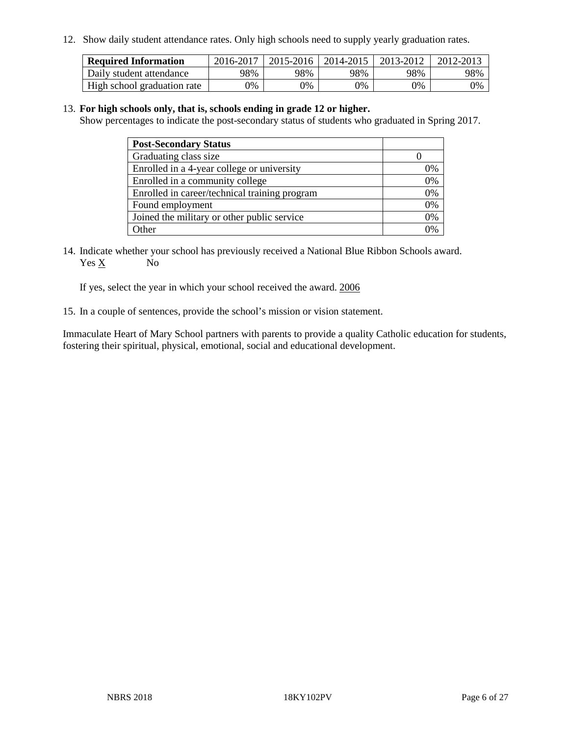12. Show daily student attendance rates. Only high schools need to supply yearly graduation rates.

| <b>Required Information</b> | 2016-2017 | $2015 - 2016$ | 2014-2015 | 2013-2012 | 2012-2013 |
|-----------------------------|-----------|---------------|-----------|-----------|-----------|
| Daily student attendance    | 98%       | 98%           | 98%       | 98%       | 98%       |
| High school graduation rate | 0%        | 0%            | 0%        | 9%        | 0%        |

#### 13. **For high schools only, that is, schools ending in grade 12 or higher.**

Show percentages to indicate the post-secondary status of students who graduated in Spring 2017.

| <b>Post-Secondary Status</b>                  |              |
|-----------------------------------------------|--------------|
| Graduating class size                         |              |
| Enrolled in a 4-year college or university    | 0%           |
| Enrolled in a community college               | 0%           |
| Enrolled in career/technical training program | 0%           |
| Found employment                              | 0%           |
| Joined the military or other public service   | 0%           |
| Other                                         | $\gamma_{0}$ |

14. Indicate whether your school has previously received a National Blue Ribbon Schools award. Yes X No

If yes, select the year in which your school received the award. 2006

15. In a couple of sentences, provide the school's mission or vision statement.

Immaculate Heart of Mary School partners with parents to provide a quality Catholic education for students, fostering their spiritual, physical, emotional, social and educational development.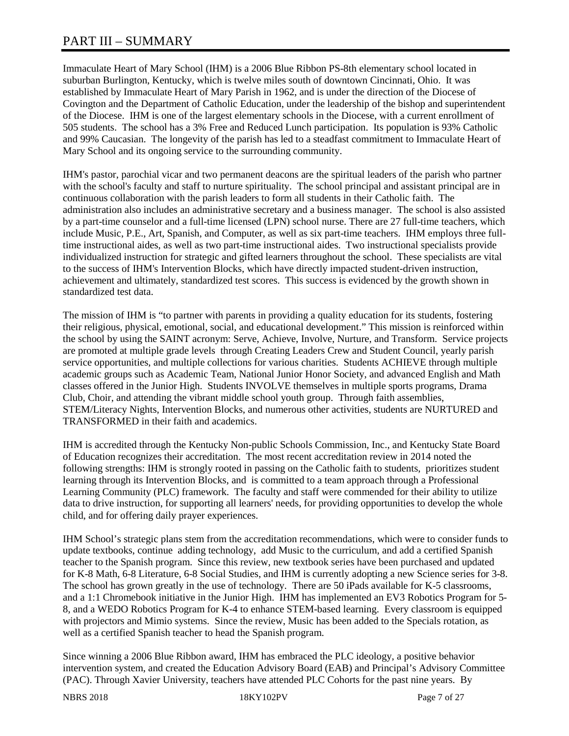# PART III – SUMMARY

Immaculate Heart of Mary School (IHM) is a 2006 Blue Ribbon PS-8th elementary school located in suburban Burlington, Kentucky, which is twelve miles south of downtown Cincinnati, Ohio. It was established by Immaculate Heart of Mary Parish in 1962, and is under the direction of the Diocese of Covington and the Department of Catholic Education, under the leadership of the bishop and superintendent of the Diocese. IHM is one of the largest elementary schools in the Diocese, with a current enrollment of 505 students. The school has a 3% Free and Reduced Lunch participation. Its population is 93% Catholic and 99% Caucasian. The longevity of the parish has led to a steadfast commitment to Immaculate Heart of Mary School and its ongoing service to the surrounding community.

IHM's pastor, parochial vicar and two permanent deacons are the spiritual leaders of the parish who partner with the school's faculty and staff to nurture spirituality. The school principal and assistant principal are in continuous collaboration with the parish leaders to form all students in their Catholic faith. The administration also includes an administrative secretary and a business manager. The school is also assisted by a part-time counselor and a full-time licensed (LPN) school nurse. There are 27 full-time teachers, which include Music, P.E., Art, Spanish, and Computer, as well as six part-time teachers. IHM employs three fulltime instructional aides, as well as two part-time instructional aides. Two instructional specialists provide individualized instruction for strategic and gifted learners throughout the school. These specialists are vital to the success of IHM's Intervention Blocks, which have directly impacted student-driven instruction, achievement and ultimately, standardized test scores. This success is evidenced by the growth shown in standardized test data.

The mission of IHM is "to partner with parents in providing a quality education for its students, fostering their religious, physical, emotional, social, and educational development." This mission is reinforced within the school by using the SAINT acronym: Serve, Achieve, Involve, Nurture, and Transform. Service projects are promoted at multiple grade levels through Creating Leaders Crew and Student Council, yearly parish service opportunities, and multiple collections for various charities. Students ACHIEVE through multiple academic groups such as Academic Team, National Junior Honor Society, and advanced English and Math classes offered in the Junior High. Students INVOLVE themselves in multiple sports programs, Drama Club, Choir, and attending the vibrant middle school youth group. Through faith assemblies, STEM/Literacy Nights, Intervention Blocks, and numerous other activities, students are NURTURED and TRANSFORMED in their faith and academics.

IHM is accredited through the Kentucky Non-public Schools Commission, Inc., and Kentucky State Board of Education recognizes their accreditation. The most recent accreditation review in 2014 noted the following strengths: IHM is strongly rooted in passing on the Catholic faith to students, prioritizes student learning through its Intervention Blocks, and is committed to a team approach through a Professional Learning Community (PLC) framework. The faculty and staff were commended for their ability to utilize data to drive instruction, for supporting all learners' needs, for providing opportunities to develop the whole child, and for offering daily prayer experiences.

IHM School's strategic plans stem from the accreditation recommendations, which were to consider funds to update textbooks, continue adding technology, add Music to the curriculum, and add a certified Spanish teacher to the Spanish program. Since this review, new textbook series have been purchased and updated for K-8 Math, 6-8 Literature, 6-8 Social Studies, and IHM is currently adopting a new Science series for 3-8. The school has grown greatly in the use of technology. There are 50 iPads available for K-5 classrooms, and a 1:1 Chromebook initiative in the Junior High. IHM has implemented an EV3 Robotics Program for 5- 8, and a WEDO Robotics Program for K-4 to enhance STEM-based learning. Every classroom is equipped with projectors and Mimio systems. Since the review, Music has been added to the Specials rotation, as well as a certified Spanish teacher to head the Spanish program.

Since winning a 2006 Blue Ribbon award, IHM has embraced the PLC ideology, a positive behavior intervention system, and created the Education Advisory Board (EAB) and Principal's Advisory Committee (PAC). Through Xavier University, teachers have attended PLC Cohorts for the past nine years. By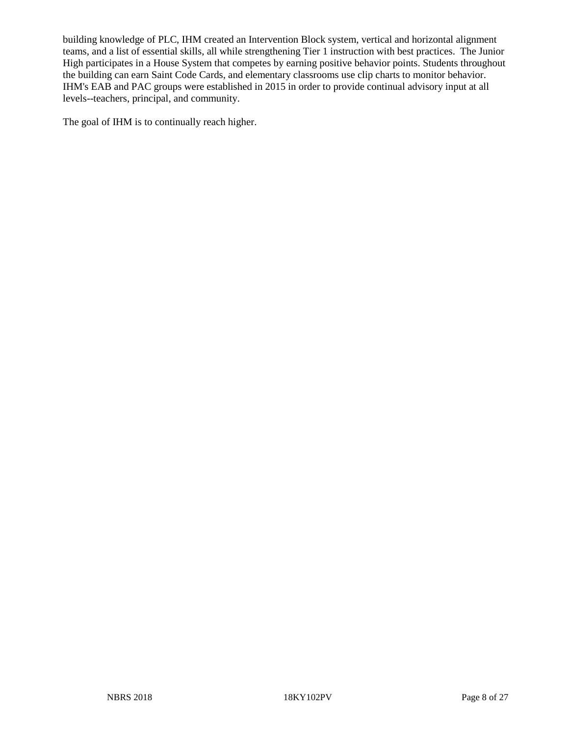building knowledge of PLC, IHM created an Intervention Block system, vertical and horizontal alignment teams, and a list of essential skills, all while strengthening Tier 1 instruction with best practices. The Junior High participates in a House System that competes by earning positive behavior points. Students throughout the building can earn Saint Code Cards, and elementary classrooms use clip charts to monitor behavior. IHM's EAB and PAC groups were established in 2015 in order to provide continual advisory input at all levels--teachers, principal, and community.

The goal of IHM is to continually reach higher.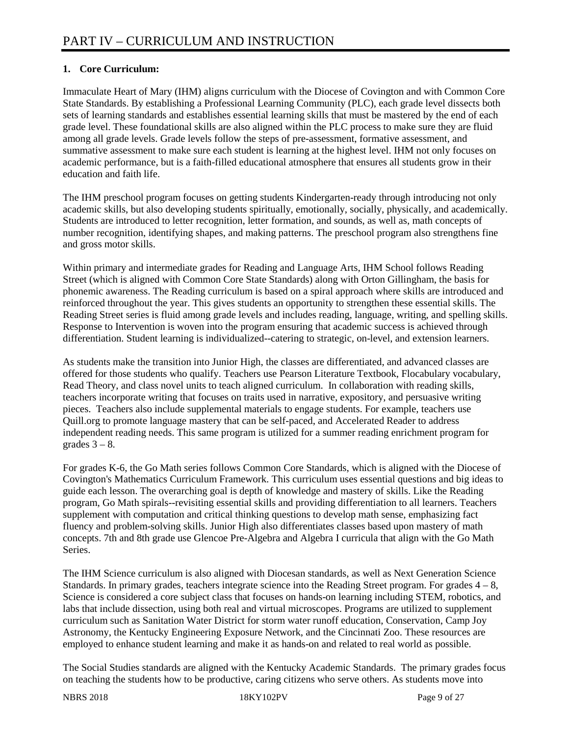### **1. Core Curriculum:**

Immaculate Heart of Mary (IHM) aligns curriculum with the Diocese of Covington and with Common Core State Standards. By establishing a Professional Learning Community (PLC), each grade level dissects both sets of learning standards and establishes essential learning skills that must be mastered by the end of each grade level. These foundational skills are also aligned within the PLC process to make sure they are fluid among all grade levels. Grade levels follow the steps of pre-assessment, formative assessment, and summative assessment to make sure each student is learning at the highest level. IHM not only focuses on academic performance, but is a faith-filled educational atmosphere that ensures all students grow in their education and faith life.

The IHM preschool program focuses on getting students Kindergarten-ready through introducing not only academic skills, but also developing students spiritually, emotionally, socially, physically, and academically. Students are introduced to letter recognition, letter formation, and sounds, as well as, math concepts of number recognition, identifying shapes, and making patterns. The preschool program also strengthens fine and gross motor skills.

Within primary and intermediate grades for Reading and Language Arts, IHM School follows Reading Street (which is aligned with Common Core State Standards) along with Orton Gillingham, the basis for phonemic awareness. The Reading curriculum is based on a spiral approach where skills are introduced and reinforced throughout the year. This gives students an opportunity to strengthen these essential skills. The Reading Street series is fluid among grade levels and includes reading, language, writing, and spelling skills. Response to Intervention is woven into the program ensuring that academic success is achieved through differentiation. Student learning is individualized--catering to strategic, on-level, and extension learners.

As students make the transition into Junior High, the classes are differentiated, and advanced classes are offered for those students who qualify. Teachers use Pearson Literature Textbook, Flocabulary vocabulary, Read Theory, and class novel units to teach aligned curriculum. In collaboration with reading skills, teachers incorporate writing that focuses on traits used in narrative, expository, and persuasive writing pieces. Teachers also include supplemental materials to engage students. For example, teachers use Quill.org to promote language mastery that can be self-paced, and Accelerated Reader to address independent reading needs. This same program is utilized for a summer reading enrichment program for grades  $3 - 8$ .

For grades K-6, the Go Math series follows Common Core Standards, which is aligned with the Diocese of Covington's Mathematics Curriculum Framework. This curriculum uses essential questions and big ideas to guide each lesson. The overarching goal is depth of knowledge and mastery of skills. Like the Reading program, Go Math spirals--revisiting essential skills and providing differentiation to all learners. Teachers supplement with computation and critical thinking questions to develop math sense, emphasizing fact fluency and problem-solving skills. Junior High also differentiates classes based upon mastery of math concepts. 7th and 8th grade use Glencoe Pre-Algebra and Algebra I curricula that align with the Go Math Series.

The IHM Science curriculum is also aligned with Diocesan standards, as well as Next Generation Science Standards. In primary grades, teachers integrate science into the Reading Street program. For grades  $4 - 8$ , Science is considered a core subject class that focuses on hands-on learning including STEM, robotics, and labs that include dissection, using both real and virtual microscopes. Programs are utilized to supplement curriculum such as Sanitation Water District for storm water runoff education, Conservation, Camp Joy Astronomy, the Kentucky Engineering Exposure Network, and the Cincinnati Zoo. These resources are employed to enhance student learning and make it as hands-on and related to real world as possible.

The Social Studies standards are aligned with the Kentucky Academic Standards. The primary grades focus on teaching the students how to be productive, caring citizens who serve others. As students move into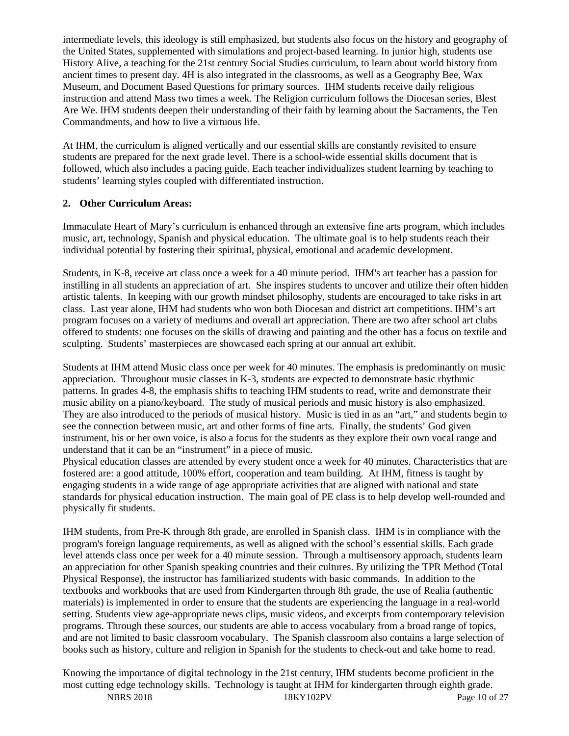intermediate levels, this ideology is still emphasized, but students also focus on the history and geography of the United States, supplemented with simulations and project-based learning. In junior high, students use History Alive, a teaching for the 21st century Social Studies curriculum, to learn about world history from ancient times to present day. 4H is also integrated in the classrooms, as well as a Geography Bee, Wax Museum, and Document Based Questions for primary sources. IHM students receive daily religious instruction and attend Mass two times a week. The Religion curriculum follows the Diocesan series, Blest Are We. IHM students deepen their understanding of their faith by learning about the Sacraments, the Ten Commandments, and how to live a virtuous life.

At IHM, the curriculum is aligned vertically and our essential skills are constantly revisited to ensure students are prepared for the next grade level. There is a school-wide essential skills document that is followed, which also includes a pacing guide. Each teacher individualizes student learning by teaching to students' learning styles coupled with differentiated instruction.

### **2. Other Curriculum Areas:**

Immaculate Heart of Mary's curriculum is enhanced through an extensive fine arts program, which includes music, art, technology, Spanish and physical education. The ultimate goal is to help students reach their individual potential by fostering their spiritual, physical, emotional and academic development.

Students, in K-8, receive art class once a week for a 40 minute period. IHM's art teacher has a passion for instilling in all students an appreciation of art. She inspires students to uncover and utilize their often hidden artistic talents. In keeping with our growth mindset philosophy, students are encouraged to take risks in art class. Last year alone, IHM had students who won both Diocesan and district art competitions. IHM's art program focuses on a variety of mediums and overall art appreciation. There are two after school art clubs offered to students: one focuses on the skills of drawing and painting and the other has a focus on textile and sculpting. Students' masterpieces are showcased each spring at our annual art exhibit.

Students at IHM attend Music class once per week for 40 minutes. The emphasis is predominantly on music appreciation. Throughout music classes in K-3, students are expected to demonstrate basic rhythmic patterns. In grades 4-8, the emphasis shifts to teaching IHM students to read, write and demonstrate their music ability on a piano/keyboard. The study of musical periods and music history is also emphasized. They are also introduced to the periods of musical history. Music is tied in as an "art," and students begin to see the connection between music, art and other forms of fine arts. Finally, the students' God given instrument, his or her own voice, is also a focus for the students as they explore their own vocal range and understand that it can be an "instrument" in a piece of music.

Physical education classes are attended by every student once a week for 40 minutes. Characteristics that are fostered are: a good attitude, 100% effort, cooperation and team building. At IHM, fitness is taught by engaging students in a wide range of age appropriate activities that are aligned with national and state standards for physical education instruction. The main goal of PE class is to help develop well-rounded and physically fit students.

IHM students, from Pre-K through 8th grade, are enrolled in Spanish class. IHM is in compliance with the program's foreign language requirements, as well as aligned with the school's essential skills. Each grade level attends class once per week for a 40 minute session. Through a multisensory approach, students learn an appreciation for other Spanish speaking countries and their cultures. By utilizing the TPR Method (Total Physical Response), the instructor has familiarized students with basic commands. In addition to the textbooks and workbooks that are used from Kindergarten through 8th grade, the use of Realia (authentic materials) is implemented in order to ensure that the students are experiencing the language in a real-world setting. Students view age-appropriate news clips, music videos, and excerpts from contemporary television programs. Through these sources, our students are able to access vocabulary from a broad range of topics, and are not limited to basic classroom vocabulary. The Spanish classroom also contains a large selection of books such as history, culture and religion in Spanish for the students to check-out and take home to read.

NBRS 2018 18KY102PV Page 10 of 27 Knowing the importance of digital technology in the 21st century, IHM students become proficient in the most cutting edge technology skills. Technology is taught at IHM for kindergarten through eighth grade.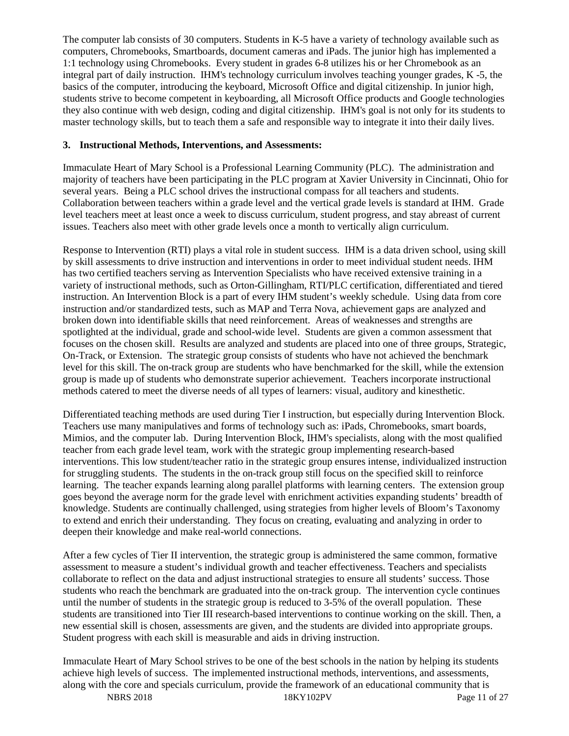The computer lab consists of 30 computers. Students in K-5 have a variety of technology available such as computers, Chromebooks, Smartboards, document cameras and iPads. The junior high has implemented a 1:1 technology using Chromebooks. Every student in grades 6-8 utilizes his or her Chromebook as an integral part of daily instruction. IHM's technology curriculum involves teaching younger grades, K -5, the basics of the computer, introducing the keyboard, Microsoft Office and digital citizenship. In junior high, students strive to become competent in keyboarding, all Microsoft Office products and Google technologies they also continue with web design, coding and digital citizenship. IHM's goal is not only for its students to master technology skills, but to teach them a safe and responsible way to integrate it into their daily lives.

### **3. Instructional Methods, Interventions, and Assessments:**

Immaculate Heart of Mary School is a Professional Learning Community (PLC). The administration and majority of teachers have been participating in the PLC program at Xavier University in Cincinnati, Ohio for several years. Being a PLC school drives the instructional compass for all teachers and students. Collaboration between teachers within a grade level and the vertical grade levels is standard at IHM. Grade level teachers meet at least once a week to discuss curriculum, student progress, and stay abreast of current issues. Teachers also meet with other grade levels once a month to vertically align curriculum.

Response to Intervention (RTI) plays a vital role in student success. IHM is a data driven school, using skill by skill assessments to drive instruction and interventions in order to meet individual student needs. IHM has two certified teachers serving as Intervention Specialists who have received extensive training in a variety of instructional methods, such as Orton-Gillingham, RTI/PLC certification, differentiated and tiered instruction. An Intervention Block is a part of every IHM student's weekly schedule. Using data from core instruction and/or standardized tests, such as MAP and Terra Nova, achievement gaps are analyzed and broken down into identifiable skills that need reinforcement. Areas of weaknesses and strengths are spotlighted at the individual, grade and school-wide level. Students are given a common assessment that focuses on the chosen skill. Results are analyzed and students are placed into one of three groups, Strategic, On-Track, or Extension. The strategic group consists of students who have not achieved the benchmark level for this skill. The on-track group are students who have benchmarked for the skill, while the extension group is made up of students who demonstrate superior achievement. Teachers incorporate instructional methods catered to meet the diverse needs of all types of learners: visual, auditory and kinesthetic.

Differentiated teaching methods are used during Tier I instruction, but especially during Intervention Block. Teachers use many manipulatives and forms of technology such as: iPads, Chromebooks, smart boards, Mimios, and the computer lab. During Intervention Block, IHM's specialists, along with the most qualified teacher from each grade level team, work with the strategic group implementing research-based interventions. This low student/teacher ratio in the strategic group ensures intense, individualized instruction for struggling students. The students in the on-track group still focus on the specified skill to reinforce learning. The teacher expands learning along parallel platforms with learning centers. The extension group goes beyond the average norm for the grade level with enrichment activities expanding students' breadth of knowledge. Students are continually challenged, using strategies from higher levels of Bloom's Taxonomy to extend and enrich their understanding. They focus on creating, evaluating and analyzing in order to deepen their knowledge and make real-world connections.

After a few cycles of Tier II intervention, the strategic group is administered the same common, formative assessment to measure a student's individual growth and teacher effectiveness. Teachers and specialists collaborate to reflect on the data and adjust instructional strategies to ensure all students' success. Those students who reach the benchmark are graduated into the on-track group. The intervention cycle continues until the number of students in the strategic group is reduced to 3-5% of the overall population. These students are transitioned into Tier III research-based interventions to continue working on the skill. Then, a new essential skill is chosen, assessments are given, and the students are divided into appropriate groups. Student progress with each skill is measurable and aids in driving instruction.

Immaculate Heart of Mary School strives to be one of the best schools in the nation by helping its students achieve high levels of success. The implemented instructional methods, interventions, and assessments, along with the core and specials curriculum, provide the framework of an educational community that is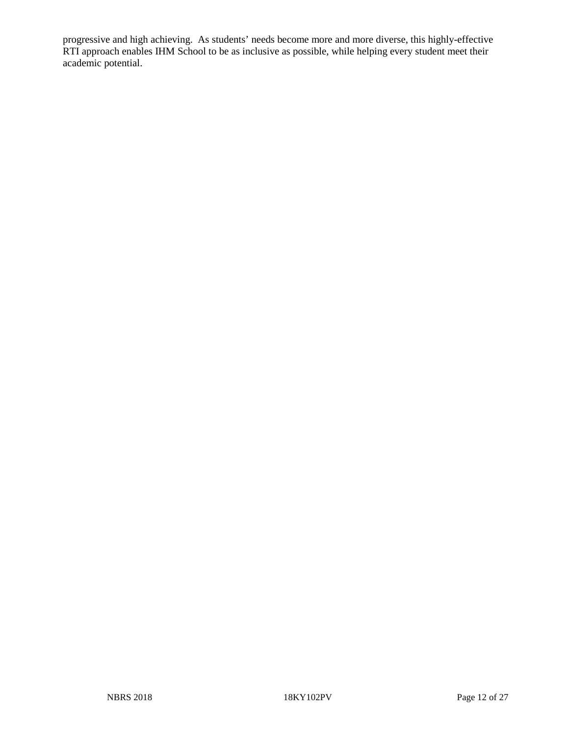progressive and high achieving. As students' needs become more and more diverse, this highly-effective RTI approach enables IHM School to be as inclusive as possible, while helping every student meet their academic potential.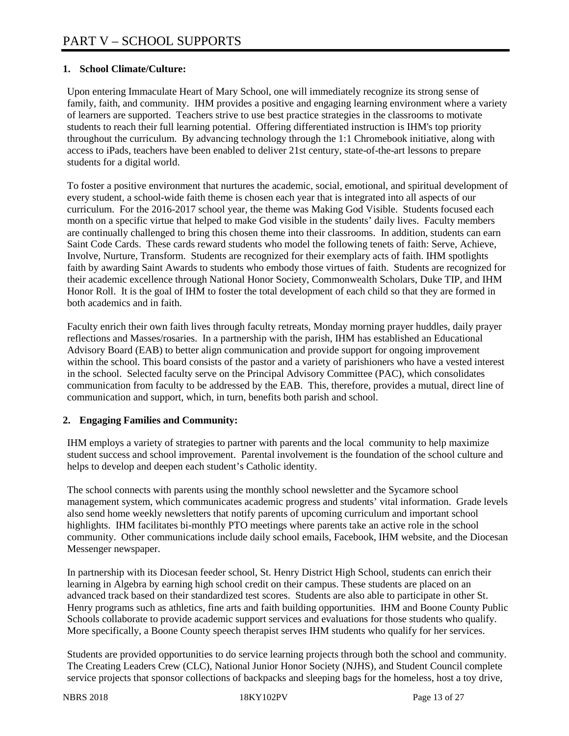### **1. School Climate/Culture:**

Upon entering Immaculate Heart of Mary School, one will immediately recognize its strong sense of family, faith, and community. IHM provides a positive and engaging learning environment where a variety of learners are supported. Teachers strive to use best practice strategies in the classrooms to motivate students to reach their full learning potential. Offering differentiated instruction is IHM's top priority throughout the curriculum. By advancing technology through the 1:1 Chromebook initiative, along with access to iPads, teachers have been enabled to deliver 21st century, state-of-the-art lessons to prepare students for a digital world.

To foster a positive environment that nurtures the academic, social, emotional, and spiritual development of every student, a school-wide faith theme is chosen each year that is integrated into all aspects of our curriculum. For the 2016-2017 school year, the theme was Making God Visible. Students focused each month on a specific virtue that helped to make God visible in the students' daily lives. Faculty members are continually challenged to bring this chosen theme into their classrooms. In addition, students can earn Saint Code Cards. These cards reward students who model the following tenets of faith: Serve, Achieve, Involve, Nurture, Transform. Students are recognized for their exemplary acts of faith. IHM spotlights faith by awarding Saint Awards to students who embody those virtues of faith. Students are recognized for their academic excellence through National Honor Society, Commonwealth Scholars, Duke TIP, and IHM Honor Roll. It is the goal of IHM to foster the total development of each child so that they are formed in both academics and in faith.

Faculty enrich their own faith lives through faculty retreats, Monday morning prayer huddles, daily prayer reflections and Masses/rosaries. In a partnership with the parish, IHM has established an Educational Advisory Board (EAB) to better align communication and provide support for ongoing improvement within the school. This board consists of the pastor and a variety of parishioners who have a vested interest in the school. Selected faculty serve on the Principal Advisory Committee (PAC), which consolidates communication from faculty to be addressed by the EAB. This, therefore, provides a mutual, direct line of communication and support, which, in turn, benefits both parish and school.

#### **2. Engaging Families and Community:**

IHM employs a variety of strategies to partner with parents and the local community to help maximize student success and school improvement. Parental involvement is the foundation of the school culture and helps to develop and deepen each student's Catholic identity.

The school connects with parents using the monthly school newsletter and the Sycamore school management system, which communicates academic progress and students' vital information. Grade levels also send home weekly newsletters that notify parents of upcoming curriculum and important school highlights. IHM facilitates bi-monthly PTO meetings where parents take an active role in the school community. Other communications include daily school emails, Facebook, IHM website, and the Diocesan Messenger newspaper.

In partnership with its Diocesan feeder school, St. Henry District High School, students can enrich their learning in Algebra by earning high school credit on their campus. These students are placed on an advanced track based on their standardized test scores. Students are also able to participate in other St. Henry programs such as athletics, fine arts and faith building opportunities. IHM and Boone County Public Schools collaborate to provide academic support services and evaluations for those students who qualify. More specifically, a Boone County speech therapist serves IHM students who qualify for her services.

Students are provided opportunities to do service learning projects through both the school and community. The Creating Leaders Crew (CLC), National Junior Honor Society (NJHS), and Student Council complete service projects that sponsor collections of backpacks and sleeping bags for the homeless, host a toy drive,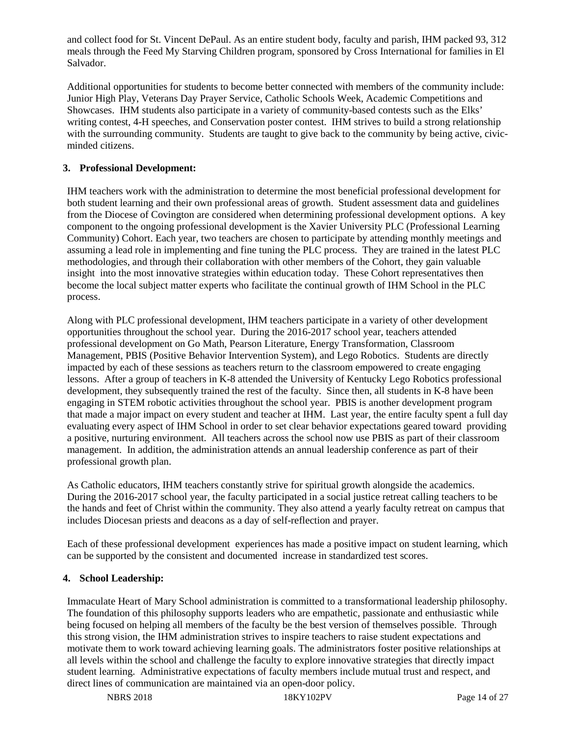and collect food for St. Vincent DePaul. As an entire student body, faculty and parish, IHM packed 93, 312 meals through the Feed My Starving Children program, sponsored by Cross International for families in El Salvador.

Additional opportunities for students to become better connected with members of the community include: Junior High Play, Veterans Day Prayer Service, Catholic Schools Week, Academic Competitions and Showcases. IHM students also participate in a variety of community-based contests such as the Elks' writing contest, 4-H speeches, and Conservation poster contest. IHM strives to build a strong relationship with the surrounding community. Students are taught to give back to the community by being active, civicminded citizens.

### **3. Professional Development:**

IHM teachers work with the administration to determine the most beneficial professional development for both student learning and their own professional areas of growth. Student assessment data and guidelines from the Diocese of Covington are considered when determining professional development options. A key component to the ongoing professional development is the Xavier University PLC (Professional Learning Community) Cohort. Each year, two teachers are chosen to participate by attending monthly meetings and assuming a lead role in implementing and fine tuning the PLC process. They are trained in the latest PLC methodologies, and through their collaboration with other members of the Cohort, they gain valuable insight into the most innovative strategies within education today. These Cohort representatives then become the local subject matter experts who facilitate the continual growth of IHM School in the PLC process.

Along with PLC professional development, IHM teachers participate in a variety of other development opportunities throughout the school year. During the 2016-2017 school year, teachers attended professional development on Go Math, Pearson Literature, Energy Transformation, Classroom Management, PBIS (Positive Behavior Intervention System), and Lego Robotics. Students are directly impacted by each of these sessions as teachers return to the classroom empowered to create engaging lessons. After a group of teachers in K-8 attended the University of Kentucky Lego Robotics professional development, they subsequently trained the rest of the faculty. Since then, all students in K-8 have been engaging in STEM robotic activities throughout the school year. PBIS is another development program that made a major impact on every student and teacher at IHM. Last year, the entire faculty spent a full day evaluating every aspect of IHM School in order to set clear behavior expectations geared toward providing a positive, nurturing environment. All teachers across the school now use PBIS as part of their classroom management. In addition, the administration attends an annual leadership conference as part of their professional growth plan.

As Catholic educators, IHM teachers constantly strive for spiritual growth alongside the academics. During the 2016-2017 school year, the faculty participated in a social justice retreat calling teachers to be the hands and feet of Christ within the community. They also attend a yearly faculty retreat on campus that includes Diocesan priests and deacons as a day of self-reflection and prayer.

Each of these professional development experiences has made a positive impact on student learning, which can be supported by the consistent and documented increase in standardized test scores.

#### **4. School Leadership:**

Immaculate Heart of Mary School administration is committed to a transformational leadership philosophy. The foundation of this philosophy supports leaders who are empathetic, passionate and enthusiastic while being focused on helping all members of the faculty be the best version of themselves possible. Through this strong vision, the IHM administration strives to inspire teachers to raise student expectations and motivate them to work toward achieving learning goals. The administrators foster positive relationships at all levels within the school and challenge the faculty to explore innovative strategies that directly impact student learning. Administrative expectations of faculty members include mutual trust and respect, and direct lines of communication are maintained via an open-door policy.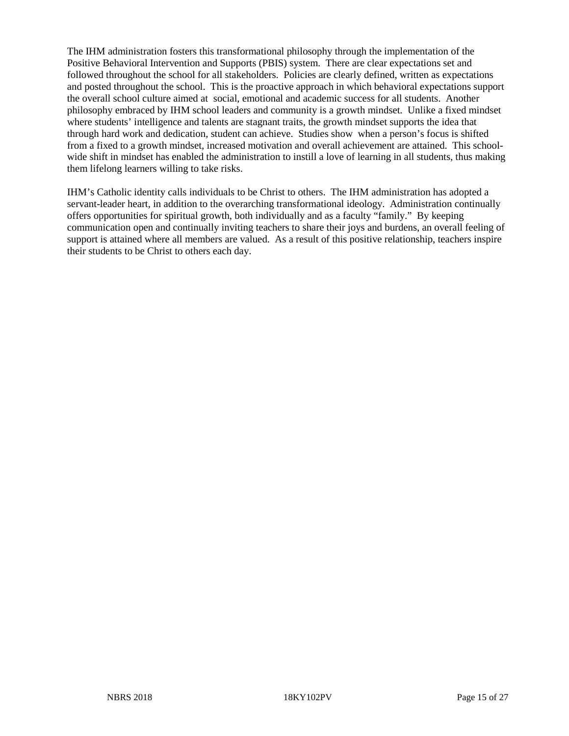The IHM administration fosters this transformational philosophy through the implementation of the Positive Behavioral Intervention and Supports (PBIS) system. There are clear expectations set and followed throughout the school for all stakeholders. Policies are clearly defined, written as expectations and posted throughout the school. This is the proactive approach in which behavioral expectations support the overall school culture aimed at social, emotional and academic success for all students. Another philosophy embraced by IHM school leaders and community is a growth mindset. Unlike a fixed mindset where students' intelligence and talents are stagnant traits, the growth mindset supports the idea that through hard work and dedication, student can achieve. Studies show when a person's focus is shifted from a fixed to a growth mindset, increased motivation and overall achievement are attained. This schoolwide shift in mindset has enabled the administration to instill a love of learning in all students, thus making them lifelong learners willing to take risks.

IHM's Catholic identity calls individuals to be Christ to others. The IHM administration has adopted a servant-leader heart, in addition to the overarching transformational ideology. Administration continually offers opportunities for spiritual growth, both individually and as a faculty "family." By keeping communication open and continually inviting teachers to share their joys and burdens, an overall feeling of support is attained where all members are valued. As a result of this positive relationship, teachers inspire their students to be Christ to others each day.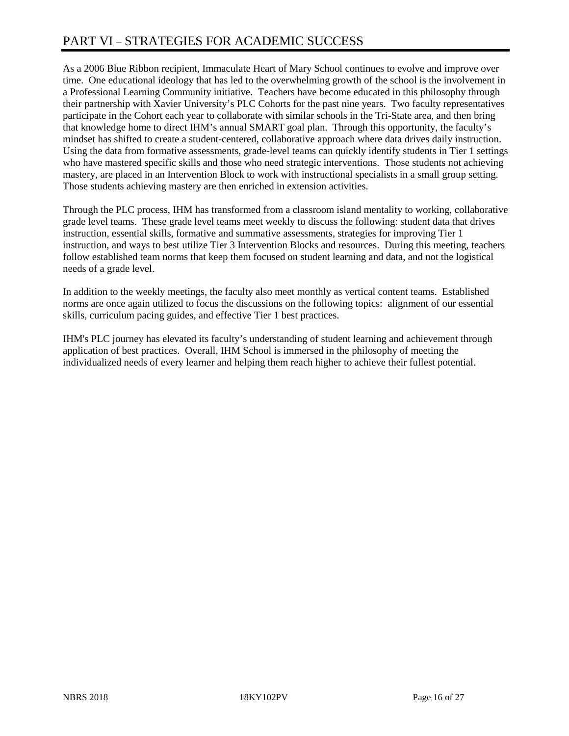# PART VI – STRATEGIES FOR ACADEMIC SUCCESS

As a 2006 Blue Ribbon recipient, Immaculate Heart of Mary School continues to evolve and improve over time. One educational ideology that has led to the overwhelming growth of the school is the involvement in a Professional Learning Community initiative. Teachers have become educated in this philosophy through their partnership with Xavier University's PLC Cohorts for the past nine years. Two faculty representatives participate in the Cohort each year to collaborate with similar schools in the Tri-State area, and then bring that knowledge home to direct IHM's annual SMART goal plan. Through this opportunity, the faculty's mindset has shifted to create a student-centered, collaborative approach where data drives daily instruction. Using the data from formative assessments, grade-level teams can quickly identify students in Tier 1 settings who have mastered specific skills and those who need strategic interventions. Those students not achieving mastery, are placed in an Intervention Block to work with instructional specialists in a small group setting. Those students achieving mastery are then enriched in extension activities.

Through the PLC process, IHM has transformed from a classroom island mentality to working, collaborative grade level teams. These grade level teams meet weekly to discuss the following: student data that drives instruction, essential skills, formative and summative assessments, strategies for improving Tier 1 instruction, and ways to best utilize Tier 3 Intervention Blocks and resources. During this meeting, teachers follow established team norms that keep them focused on student learning and data, and not the logistical needs of a grade level.

In addition to the weekly meetings, the faculty also meet monthly as vertical content teams. Established norms are once again utilized to focus the discussions on the following topics: alignment of our essential skills, curriculum pacing guides, and effective Tier 1 best practices.

IHM's PLC journey has elevated its faculty's understanding of student learning and achievement through application of best practices. Overall, IHM School is immersed in the philosophy of meeting the individualized needs of every learner and helping them reach higher to achieve their fullest potential.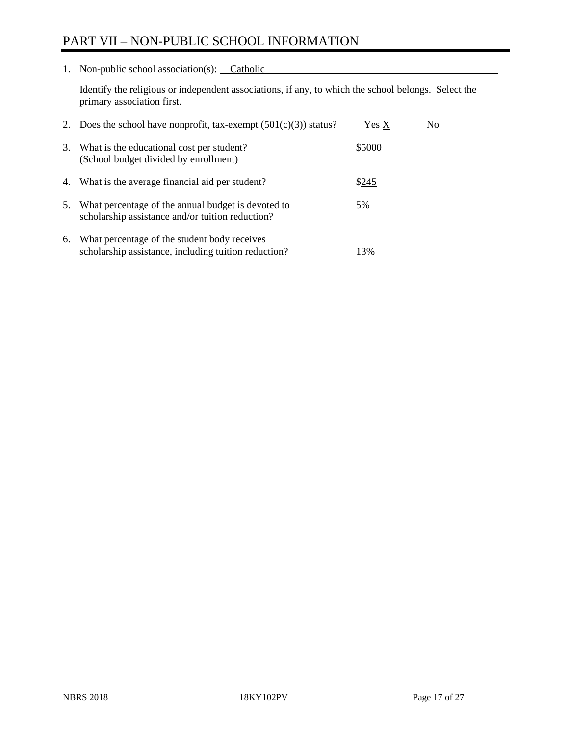# PART VII – NON-PUBLIC SCHOOL INFORMATION

1. Non-public school association(s): Catholic

Identify the religious or independent associations, if any, to which the school belongs. Select the primary association first.

| 2. | Does the school have nonprofit, tax-exempt $(501(c)(3))$ status?                                       | Yes X  | No. |
|----|--------------------------------------------------------------------------------------------------------|--------|-----|
| 3. | What is the educational cost per student?<br>(School budget divided by enrollment)                     | \$5000 |     |
| 4. | What is the average financial aid per student?                                                         | \$245  |     |
| 5. | What percentage of the annual budget is devoted to<br>scholarship assistance and/or tuition reduction? | 5%     |     |
| 6. | What percentage of the student body receives<br>scholarship assistance, including tuition reduction?   | 13%    |     |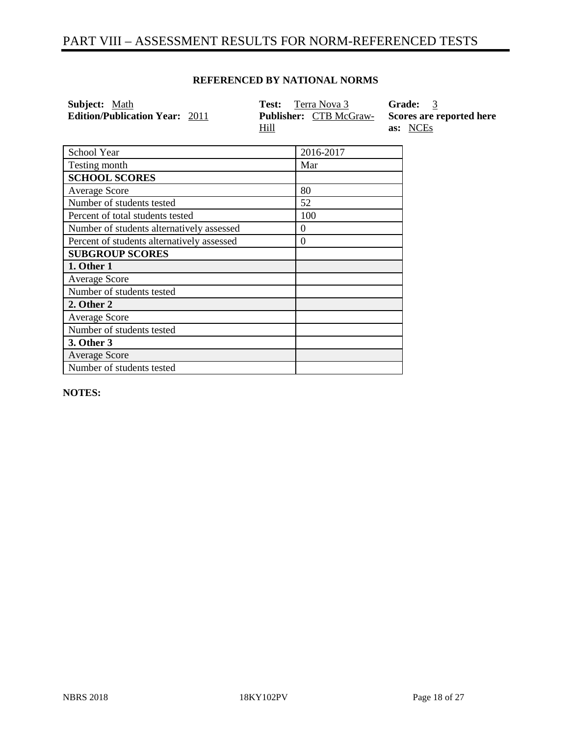# PART VIII – ASSESSMENT RESULTS FOR NORM-REFERENCED TESTS

### **REFERENCED BY NATIONAL NORMS**

| <b>Subject:</b> Math                  | <b>Test:</b> Terra Nova 3                    | <b>Grade:</b> 3                      |
|---------------------------------------|----------------------------------------------|--------------------------------------|
| <b>Edition/Publication Year: 2011</b> | <b>Publisher:</b> CTB McGraw-<br><u>Hill</u> | Scores are reported here<br>as: NCEs |

| School Year                                | 2016-2017 |
|--------------------------------------------|-----------|
| Testing month                              | Mar       |
| <b>SCHOOL SCORES</b>                       |           |
| <b>Average Score</b>                       | 80        |
| Number of students tested                  | 52        |
| Percent of total students tested           | 100       |
| Number of students alternatively assessed  | $\theta$  |
| Percent of students alternatively assessed | 0         |
| <b>SUBGROUP SCORES</b>                     |           |
| 1. Other 1                                 |           |
| <b>Average Score</b>                       |           |
| Number of students tested                  |           |
| 2. Other 2                                 |           |
| <b>Average Score</b>                       |           |
| Number of students tested                  |           |
| 3. Other 3                                 |           |
| <b>Average Score</b>                       |           |
| Number of students tested                  |           |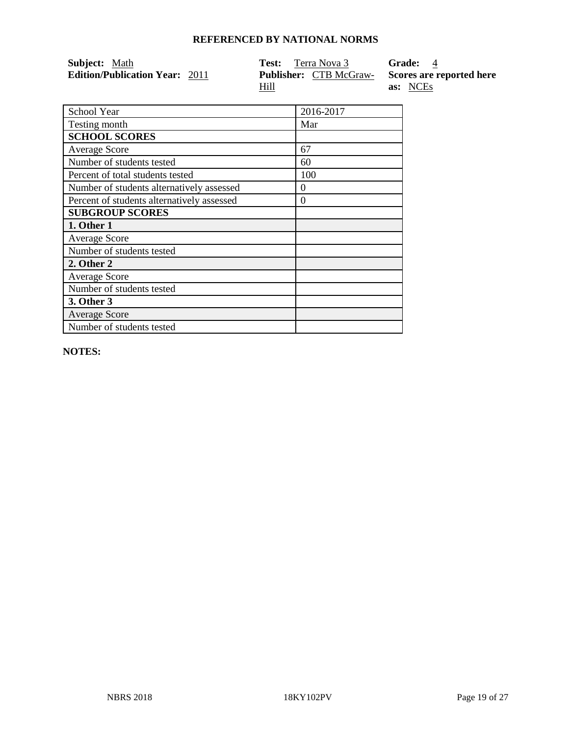| <b>Subject:</b> Math                  | <b>Test:</b> Terra Nova 3     | <b>Grade:</b> 4          |
|---------------------------------------|-------------------------------|--------------------------|
| <b>Edition/Publication Year: 2011</b> | <b>Publisher:</b> CTB McGraw- | Scores are reported here |
|                                       | Hill                          | as: NCEs                 |

| School Year                                | 2016-2017 |
|--------------------------------------------|-----------|
| Testing month                              | Mar       |
| <b>SCHOOL SCORES</b>                       |           |
| <b>Average Score</b>                       | 67        |
| Number of students tested                  | 60        |
| Percent of total students tested           | 100       |
| Number of students alternatively assessed  | $\theta$  |
| Percent of students alternatively assessed | $\Omega$  |
| <b>SUBGROUP SCORES</b>                     |           |
| 1. Other 1                                 |           |
| <b>Average Score</b>                       |           |
| Number of students tested                  |           |
| 2. Other 2                                 |           |
| <b>Average Score</b>                       |           |
| Number of students tested                  |           |
| <b>3. Other 3</b>                          |           |
| <b>Average Score</b>                       |           |
| Number of students tested                  |           |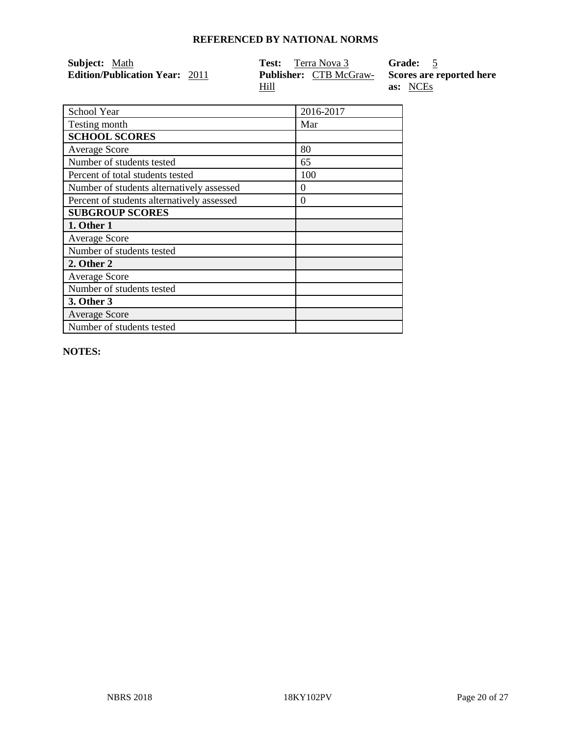| <b>Subject:</b> Math                  | <b>Test:</b> Terra Nova 3     | Grade: 5                 |
|---------------------------------------|-------------------------------|--------------------------|
| <b>Edition/Publication Year: 2011</b> | <b>Publisher:</b> CTB McGraw- | Scores are reported here |
|                                       | Hill                          | as: NCEs                 |

| School Year                                | 2016-2017 |
|--------------------------------------------|-----------|
| Testing month                              | Mar       |
| <b>SCHOOL SCORES</b>                       |           |
| <b>Average Score</b>                       | 80        |
| Number of students tested                  | 65        |
| Percent of total students tested           | 100       |
| Number of students alternatively assessed  | $\theta$  |
| Percent of students alternatively assessed | $\Omega$  |
| <b>SUBGROUP SCORES</b>                     |           |
| 1. Other 1                                 |           |
| <b>Average Score</b>                       |           |
| Number of students tested                  |           |
| 2. Other 2                                 |           |
| <b>Average Score</b>                       |           |
| Number of students tested                  |           |
| <b>3. Other 3</b>                          |           |
| <b>Average Score</b>                       |           |
| Number of students tested                  |           |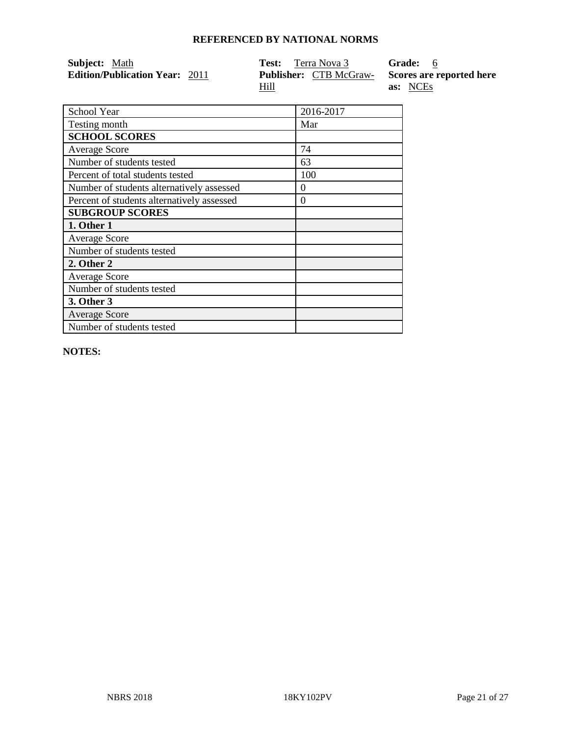| <b>Subject:</b> Math                  | <b>Test:</b> Terra Nova 3     | Grade: 6                 |
|---------------------------------------|-------------------------------|--------------------------|
| <b>Edition/Publication Year: 2011</b> | <b>Publisher:</b> CTB McGraw- | Scores are reported here |
|                                       | Hill                          | as: NCEs                 |

| School Year                                | 2016-2017 |
|--------------------------------------------|-----------|
| Testing month                              | Mar       |
| <b>SCHOOL SCORES</b>                       |           |
| <b>Average Score</b>                       | 74        |
| Number of students tested                  | 63        |
| Percent of total students tested           | 100       |
| Number of students alternatively assessed  | $\theta$  |
| Percent of students alternatively assessed | $\Omega$  |
| <b>SUBGROUP SCORES</b>                     |           |
| 1. Other 1                                 |           |
| <b>Average Score</b>                       |           |
| Number of students tested                  |           |
| 2. Other 2                                 |           |
| <b>Average Score</b>                       |           |
| Number of students tested                  |           |
| <b>3. Other 3</b>                          |           |
| <b>Average Score</b>                       |           |
| Number of students tested                  |           |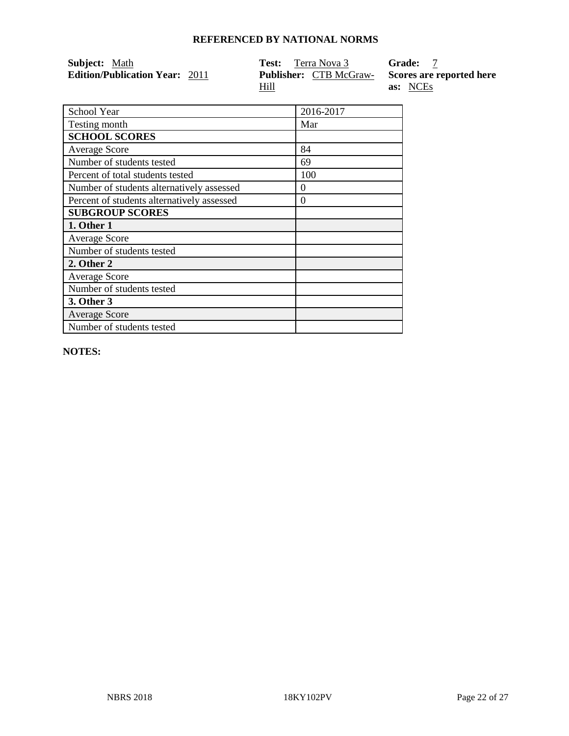| <b>Subject:</b> Math                  | <b>Test:</b> Terra Nova 3     | <b>Grade:</b>            |
|---------------------------------------|-------------------------------|--------------------------|
| <b>Edition/Publication Year: 2011</b> | <b>Publisher:</b> CTB McGraw- | Scores are reported here |
|                                       | Hill                          | as: NCEs                 |

| School Year                                | 2016-2017 |
|--------------------------------------------|-----------|
| Testing month                              | Mar       |
| <b>SCHOOL SCORES</b>                       |           |
| <b>Average Score</b>                       | 84        |
| Number of students tested                  | 69        |
| Percent of total students tested           | 100       |
| Number of students alternatively assessed  | $\theta$  |
| Percent of students alternatively assessed | $\Omega$  |
| <b>SUBGROUP SCORES</b>                     |           |
| 1. Other 1                                 |           |
| <b>Average Score</b>                       |           |
| Number of students tested                  |           |
| 2. Other 2                                 |           |
| <b>Average Score</b>                       |           |
| Number of students tested                  |           |
| <b>3. Other 3</b>                          |           |
| <b>Average Score</b>                       |           |
| Number of students tested                  |           |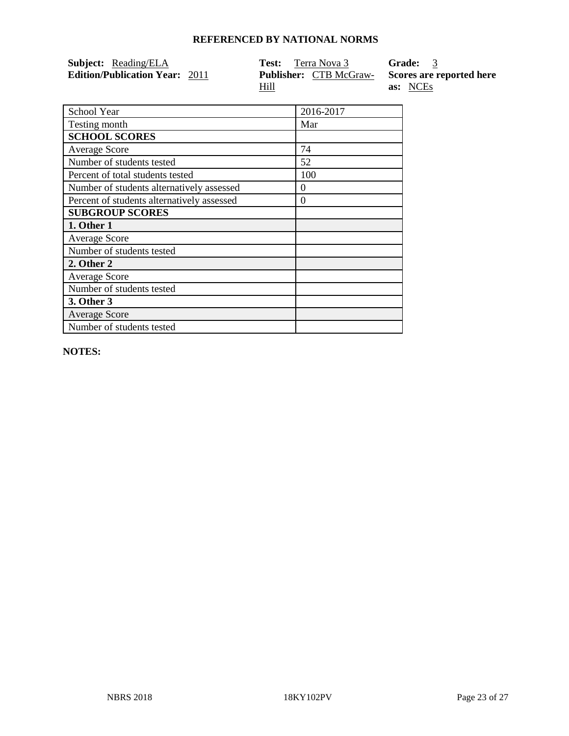| <b>Subject:</b> Reading/ELA           | <b>Test:</b> Terra Nova 3                             | Grade: 3 |
|---------------------------------------|-------------------------------------------------------|----------|
| <b>Edition/Publication Year: 2011</b> | <b>Publisher:</b> CTB McGraw-Scores are reported here |          |
|                                       | Hill                                                  | as: NCEs |

| School Year                                | 2016-2017 |
|--------------------------------------------|-----------|
| Testing month                              | Mar       |
| <b>SCHOOL SCORES</b>                       |           |
| <b>Average Score</b>                       | 74        |
| Number of students tested                  | 52        |
| Percent of total students tested           | 100       |
| Number of students alternatively assessed  | $\theta$  |
| Percent of students alternatively assessed | $\Omega$  |
| <b>SUBGROUP SCORES</b>                     |           |
| 1. Other 1                                 |           |
| <b>Average Score</b>                       |           |
| Number of students tested                  |           |
| 2. Other 2                                 |           |
| <b>Average Score</b>                       |           |
| Number of students tested                  |           |
| <b>3. Other 3</b>                          |           |
| <b>Average Score</b>                       |           |
| Number of students tested                  |           |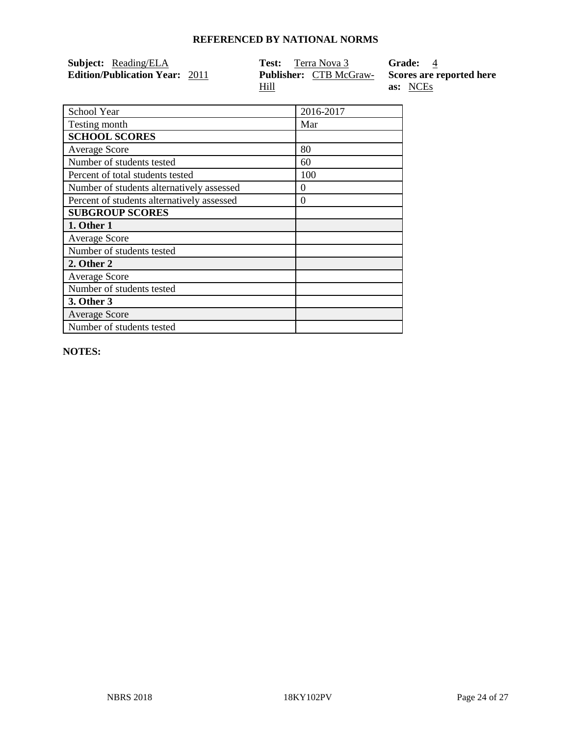| <b>Subject:</b> Reading/ELA           | <b>Test:</b> Terra Nova 3     | Grade: 4                 |
|---------------------------------------|-------------------------------|--------------------------|
| <b>Edition/Publication Year: 2011</b> | <b>Publisher:</b> CTB McGraw- | Scores are reported here |
|                                       | Hill                          | as: NCEs                 |

| School Year                                | 2016-2017 |
|--------------------------------------------|-----------|
| Testing month                              | Mar       |
| <b>SCHOOL SCORES</b>                       |           |
| <b>Average Score</b>                       | 80        |
| Number of students tested                  | 60        |
| Percent of total students tested           | 100       |
| Number of students alternatively assessed  | $\theta$  |
| Percent of students alternatively assessed | $\Omega$  |
| <b>SUBGROUP SCORES</b>                     |           |
| 1. Other 1                                 |           |
| <b>Average Score</b>                       |           |
| Number of students tested                  |           |
| 2. Other 2                                 |           |
| <b>Average Score</b>                       |           |
| Number of students tested                  |           |
| 3. Other 3                                 |           |
| <b>Average Score</b>                       |           |
| Number of students tested                  |           |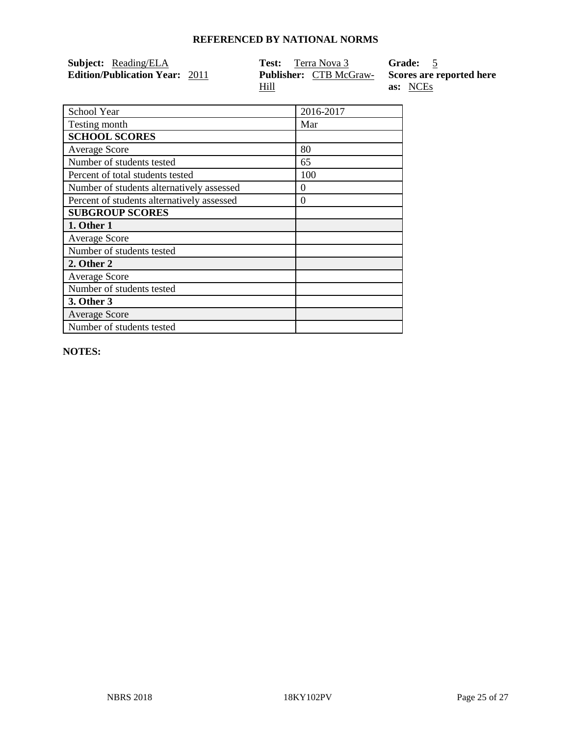| <b>Subject:</b> Reading/ELA           | <b>Test:</b> Terra Nova 3                             | Grade: 5 |
|---------------------------------------|-------------------------------------------------------|----------|
| <b>Edition/Publication Year: 2011</b> | <b>Publisher:</b> CTB McGraw-Scores are reported here |          |
|                                       | Hill                                                  | as: NCEs |

| School Year                                | 2016-2017 |
|--------------------------------------------|-----------|
| Testing month                              | Mar       |
| <b>SCHOOL SCORES</b>                       |           |
| <b>Average Score</b>                       | 80        |
| Number of students tested                  | 65        |
| Percent of total students tested           | 100       |
| Number of students alternatively assessed  | $\theta$  |
| Percent of students alternatively assessed | $\Omega$  |
| <b>SUBGROUP SCORES</b>                     |           |
| 1. Other 1                                 |           |
| <b>Average Score</b>                       |           |
| Number of students tested                  |           |
| 2. Other 2                                 |           |
| <b>Average Score</b>                       |           |
| Number of students tested                  |           |
| <b>3. Other 3</b>                          |           |
| <b>Average Score</b>                       |           |
| Number of students tested                  |           |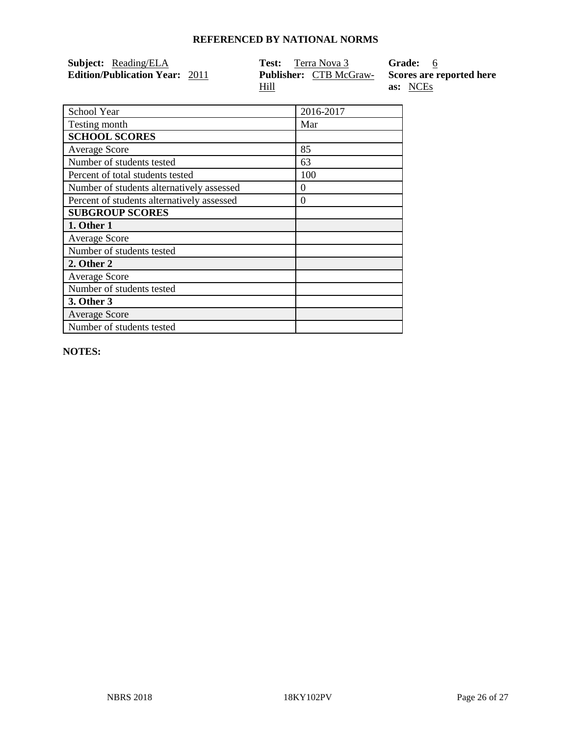| <b>Subject:</b> Reading/ELA           | <b>Test:</b> Terra Nova 3                             | Grade: 6 |
|---------------------------------------|-------------------------------------------------------|----------|
| <b>Edition/Publication Year: 2011</b> | <b>Publisher:</b> CTB McGraw-Scores are reported here |          |
|                                       | Hill                                                  | as: NCEs |

| School Year                                | 2016-2017 |
|--------------------------------------------|-----------|
| Testing month                              | Mar       |
| <b>SCHOOL SCORES</b>                       |           |
| <b>Average Score</b>                       | 85        |
| Number of students tested                  | 63        |
| Percent of total students tested           | 100       |
| Number of students alternatively assessed  | $\theta$  |
| Percent of students alternatively assessed | $\Omega$  |
| <b>SUBGROUP SCORES</b>                     |           |
| 1. Other 1                                 |           |
| <b>Average Score</b>                       |           |
| Number of students tested                  |           |
| 2. Other 2                                 |           |
| <b>Average Score</b>                       |           |
| Number of students tested                  |           |
| 3. Other 3                                 |           |
| <b>Average Score</b>                       |           |
| Number of students tested                  |           |